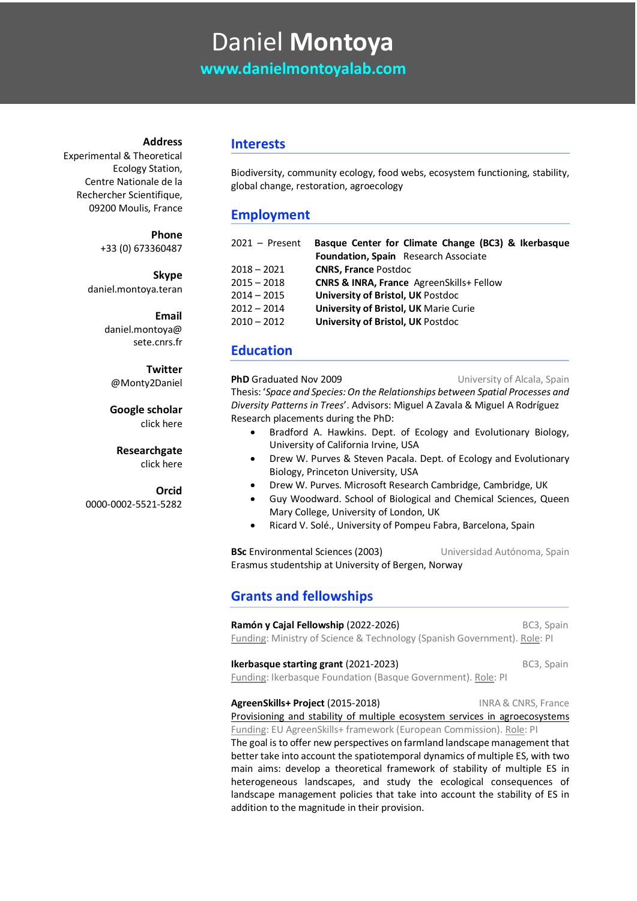# Daniel **Montoya**

**www.danielmontoyalab.com**

#### **Address**

Experimental & Theoretical Ecology Station, Centre Nationale de la Rechercher Scientifique, 09200 Moulis, France

### **Phone**

+33 (0) 673360487

#### **Skype**

daniel.montoya.teran

**Email** daniel.montoya@ sete.cnrs.fr

**Twitter** @Monty2Daniel

**Google scholar** click here

# **Researchgate**

click here

# **Orcid**

0000-0002-5521-5282

### **Interests**

Biodiversity, community ecology, food webs, ecosystem functioning, stability, global change, restoration, agroecology

## **Employment**

| $2021 -$ Present | Basque Center for Climate Change (BC3) & Ikerbasque |
|------------------|-----------------------------------------------------|
|                  | <b>Foundation, Spain</b> Research Associate         |
| $2018 - 2021$    | <b>CNRS, France Postdoc</b>                         |
| $2015 - 2018$    | <b>CNRS &amp; INRA, France AgreenSkills+ Fellow</b> |
| $2014 - 2015$    | University of Bristol, UK Postdoc                   |
| $2012 - 2014$    | University of Bristol, UK Marie Curie               |
| $2010 - 2012$    | University of Bristol, UK Postdoc                   |

# **Education**

**PhD Graduated Nov 2009 Diversity of Alcala, Spain** Thesis: '*Space and Species: On the Relationships between Spatial Processes and Diversity Patterns in Trees*'. Advisors: Miguel A Zavala & Miguel A Rodríguez Research placements during the PhD:

- Bradford A. Hawkins. Dept. of Ecology and Evolutionary Biology, University of California Irvine, USA
- Drew W. Purves & Steven Pacala. Dept. of Ecology and Evolutionary Biology, Princeton University, USA
- Drew W. Purves. Microsoft Research Cambridge, Cambridge, UK
- Guy Woodward. School of Biological and Chemical Sciences, Queen Mary College, University of London, UK
	- Ricard V. Solé., University of Pompeu Fabra, Barcelona, Spain

**BSc Environmental Sciences (2003)** Universidad Autónoma, Spain Erasmus studentship at University of Bergen, Norway

# **Grants and fellowships**

**Ramón y Cajal Fellowship (2022-2026)** BC3, Spain Funding: Ministry of Science & Technology (Spanish Government). Role: PI

**Ikerbasque starting grant (2021-2023)** BC3, Spain

Funding: Ikerbasque Foundation (Basque Government). Role: PI

AgreenSkills+ Project (2015-2018) **INRA & CNRS, France** Provisioning and stability of multiple ecosystem services in agroecosystems Funding: EU AgreenSkills+ framework (European Commission). Role: PI The goal is to offer new perspectives on farmland landscape management that better take into account the spatiotemporal dynamics of multiple ES, with two main aims: develop a theoretical framework of stability of multiple ES in heterogeneous landscapes, and study the ecological consequences of landscape management policies that take into account the stability of ES in addition to the magnitude in their provision.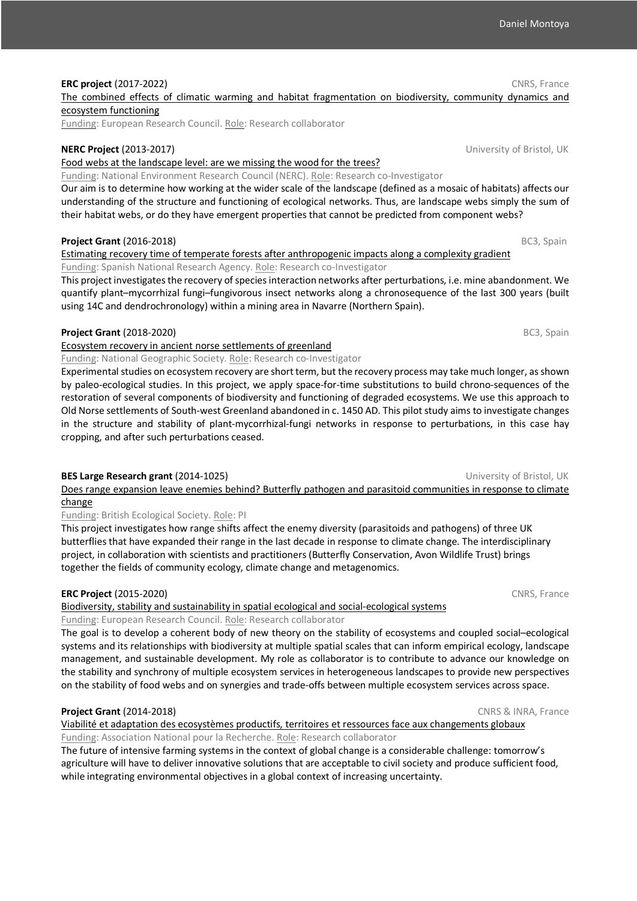#### **ERC project** (2017-2022) **CNRS**, France

The combined effects of climatic warming and habitat fragmentation on biodiversity, community dynamics and ecosystem functioning

Funding: European Research Council. Role: Research collaborator

#### **NERC Project** (2013-2017) University of Bristol, UK

Food webs at the landscape level: are we missing the wood for the trees?

Funding: National Environment Research Council (NERC). Role: Research co-Investigator

Our aim is to determine how working at the wider scale of the landscape (defined as a mosaic of habitats) affects our understanding of the structure and functioning of ecological networks. Thus, are landscape webs simply the sum of their habitat webs, or do they have emergent properties that cannot be predicted from component webs?

#### **Project Grant** (2016-2018) **BC3, Spain**

Estimating recovery time of temperate forests after anthropogenic impacts along a complexity gradient Funding: Spanish National Research Agency. Role: Research co-Investigator

This project investigates the recovery of species interaction networks after perturbations, i.e. mine abandonment. We quantify plant–mycorrhizal fungi–fungivorous insect networks along a chronosequence of the last 300 years (built using 14C and dendrochronology) within a mining area in Navarre (Northern Spain).

#### **Project Grant** (2018-2020) **BC3, Spain**

Ecosystem recovery in ancient norse settlements of greenland

Funding: National Geographic Society. Role: Research co-Investigator

Experimental studies on ecosystem recovery are short term, but the recovery process may take much longer, as shown by paleo-ecological studies. In this project, we apply space-for-time substitutions to build chrono-sequences of the restoration of several components of biodiversity and functioning of degraded ecosystems. We use this approach to Old Norse settlements of South-west Greenland abandoned in c. 1450 AD. This pilot study aims to investigate changes in the structure and stability of plant-mycorrhizal-fungi networks in response to perturbations, in this case hay cropping, and after such perturbations ceased.

#### **BES Large Research grant (2014-1025)** University of Bristol, UK

Does range expansion leave enemies behind? Butterfly pathogen and parasitoid communities in response to climate change

### Funding: British Ecological Society. Role: PI

This project investigates how range shifts affect the enemy diversity (parasitoids and pathogens) of three UK butterflies that have expanded their range in the last decade in response to climate change. The interdisciplinary project, in collaboration with scientists and practitioners (Butterfly Conservation, Avon Wildlife Trust) brings together the fields of community ecology, climate change and metagenomics.

#### **ERC Project (2015-2020)** CNRS, France

Biodiversity, stability and sustainability in spatial ecological and social-ecological systems

Funding: European Research Council. Role: Research collaborator

The goal is to develop a coherent body of new theory on the stability of ecosystems and coupled social–ecological systems and its relationships with biodiversity at multiple spatial scales that can inform empirical ecology, landscape management, and sustainable development. My role as collaborator is to contribute to advance our knowledge on the stability and synchrony of multiple ecosystem services in heterogeneous landscapes to provide new perspectives on the stability of food webs and on synergies and trade-offs between multiple ecosystem services across space.

### **Project Grant** (2014-2018) **CNRS & INRA, France**

Viabilité et adaptation des ecosystèmes productifs, territoires et ressources face aux changements globaux

Funding: Association National pour la Recherche. Role: Research collaborator

The future of intensive farming systems in the context of global change is a considerable challenge: tomorrow's agriculture will have to deliver innovative solutions that are acceptable to civil society and produce sufficient food, while integrating environmental objectives in a global context of increasing uncertainty.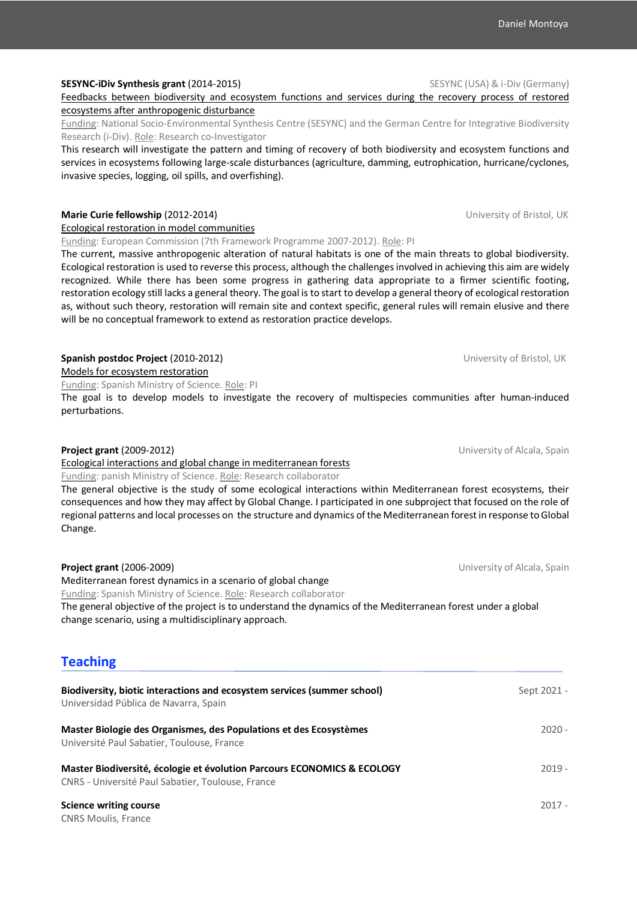**SESYNC-iDiv Synthesis grant** (2014-2015) **SESYNC (USA) & i-Div (Germany)** 

Feedbacks between biodiversity and ecosystem functions and services during the recovery process of restored ecosystems after anthropogenic disturbance

Funding: National Socio-Environmental Synthesis Centre (SESYNC) and the German Centre for Integrative Biodiversity Research (i-Div). Role: Research co-Investigator

This research will investigate the pattern and timing of recovery of both biodiversity and ecosystem functions and services in ecosystems following large-scale disturbances (agriculture, damming, eutrophication, hurricane/cyclones, invasive species, logging, oil spills, and overfishing).

#### **Marie Curie fellowship (2012-2014) University of Bristol, UK University of Bristol, UK**

Ecological restoration in model communities

Funding: European Commission (7th Framework Programme 2007-2012). Role: PI

The current, massive anthropogenic alteration of natural habitats is one of the main threats to global biodiversity. Ecological restoration is used to reverse this process, although the challenges involved in achieving this aim are widely recognized. While there has been some progress in gathering data appropriate to a firmer scientific footing, restoration ecology still lacks a general theory. The goal is to start to develop a general theory of ecological restoration as, without such theory, restoration will remain site and context specific, general rules will remain elusive and there will be no conceptual framework to extend as restoration practice develops.

**Spanish postdoc Project** (2010-2012) **University of Bristol, UK University of Bristol, UK** Models for ecosystem restoration

Funding: Spanish Ministry of Science. Role: PI

The goal is to develop models to investigate the recovery of multispecies communities after human-induced perturbations.

# **Project grant (2009-2012) Project grant (2009-2012)** University of Alcala, Spain

Ecological interactions and global change in mediterranean forests

Funding: panish Ministry of Science. Role: Research collaborator

The general objective is the study of some ecological interactions within Mediterranean forest ecosystems, their consequences and how they may affect by Global Change. I participated in one subproject that focused on the role of regional patterns and local processes on the structure and dynamics of the Mediterranean forest in response to Global Change.

**Project grant (2006-2009) Project grant (2006-2009) University of Alcala, Spain** Mediterranean forest dynamics in a scenario of global change Funding: Spanish Ministry of Science. Role: Research collaborator The general objective of the project is to understand the dynamics of the Mediterranean forest under a global change scenario, using a multidisciplinary approach. **Teaching**

| Biodiversity, biotic interactions and ecosystem services (summer school)<br>Universidad Pública de Navarra, Spain            | Sept 2021 - |
|------------------------------------------------------------------------------------------------------------------------------|-------------|
| Master Biologie des Organismes, des Populations et des Ecosystèmes<br>Université Paul Sabatier, Toulouse, France             | $2020 -$    |
| Master Biodiversité, écologie et évolution Parcours ECONOMICS & ECOLOGY<br>CNRS - Université Paul Sabatier, Toulouse, France | $2019 -$    |
| <b>Science writing course</b>                                                                                                | $2017 -$    |

CNRS Moulis, France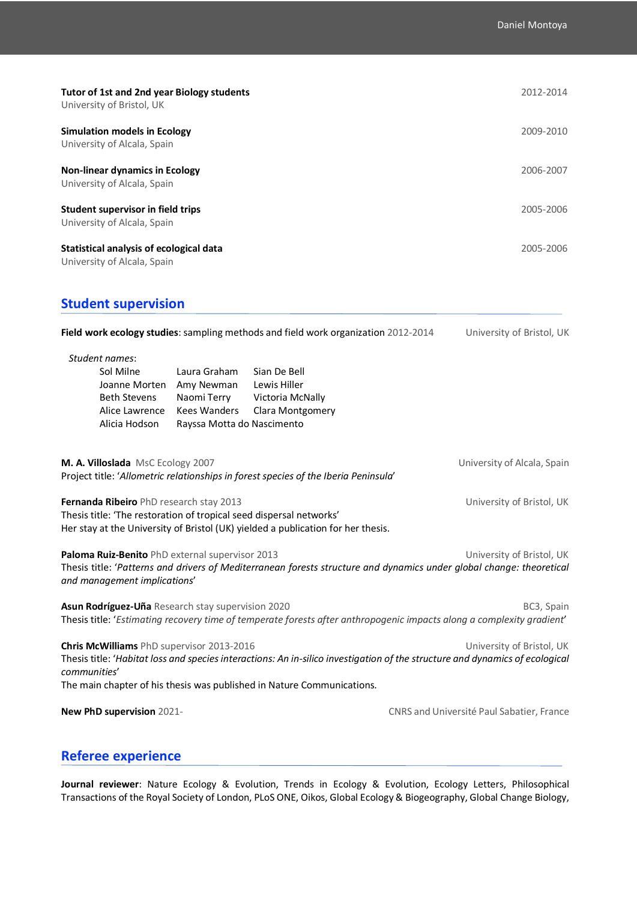| Tutor of 1st and 2nd year Biology students<br>University of Bristol, UK | 2012-2014 |
|-------------------------------------------------------------------------|-----------|
| Simulation models in Ecology<br>University of Alcala, Spain             | 2009-2010 |
| <b>Non-linear dynamics in Ecology</b><br>University of Alcala, Spain    | 2006-2007 |
| Student supervisor in field trips<br>University of Alcala, Spain        | 2005-2006 |
| Statistical analysis of ecological data<br>University of Alcala, Spain  | 2005-2006 |

# **Student supervision**

|                                                                     |                            | Field work ecology studies: sampling methods and field work organization 2012-2014                                           |                                           | University of Bristol, UK   |
|---------------------------------------------------------------------|----------------------------|------------------------------------------------------------------------------------------------------------------------------|-------------------------------------------|-----------------------------|
| Student names:                                                      |                            |                                                                                                                              |                                           |                             |
| Sol Milne                                                           | Laura Graham               | Sian De Bell                                                                                                                 |                                           |                             |
| Joanne Morten                                                       | Amy Newman                 | Lewis Hiller                                                                                                                 |                                           |                             |
| <b>Beth Stevens</b>                                                 | Naomi Terry                | Victoria McNally                                                                                                             |                                           |                             |
| Alice Lawrence                                                      | <b>Kees Wanders</b>        | Clara Montgomery                                                                                                             |                                           |                             |
| Alicia Hodson                                                       | Rayssa Motta do Nascimento |                                                                                                                              |                                           |                             |
| M. A. Villoslada MsC Ecology 2007                                   |                            |                                                                                                                              |                                           | University of Alcala, Spain |
|                                                                     |                            | Project title: 'Allometric relationships in forest species of the Iberia Peninsula'                                          |                                           |                             |
| Fernanda Ribeiro PhD research stay 2013                             |                            |                                                                                                                              |                                           | University of Bristol, UK   |
| Thesis title: 'The restoration of tropical seed dispersal networks' |                            |                                                                                                                              |                                           |                             |
|                                                                     |                            | Her stay at the University of Bristol (UK) yielded a publication for her thesis.                                             |                                           |                             |
| Paloma Ruiz-Benito PhD external supervisor 2013                     |                            |                                                                                                                              |                                           | University of Bristol, UK   |
| and management implications'                                        |                            | Thesis title: 'Patterns and drivers of Mediterranean forests structure and dynamics under global change: theoretical         |                                           |                             |
| Asun Rodríguez-Uña Research stay supervision 2020                   |                            |                                                                                                                              |                                           | BC3, Spain                  |
|                                                                     |                            | Thesis title: 'Estimating recovery time of temperate forests after anthropogenic impacts along a complexity gradient'        |                                           |                             |
| Chris McWilliams PhD supervisor 2013-2016                           |                            |                                                                                                                              |                                           | University of Bristol, UK   |
| communities'                                                        |                            | Thesis title: 'Habitat loss and species interactions: An in-silico investigation of the structure and dynamics of ecological |                                           |                             |
|                                                                     |                            | The main chapter of his thesis was published in Nature Communications.                                                       |                                           |                             |
| New PhD supervision 2021-                                           |                            |                                                                                                                              | CNRS and Université Paul Sabatier, France |                             |

# **Referee experience**

**Journal reviewer**: Nature Ecology & Evolution, Trends in Ecology & Evolution, Ecology Letters, Philosophical Transactions of the Royal Society of London, PLoS ONE, Oikos, Global Ecology & Biogeography, Global Change Biology,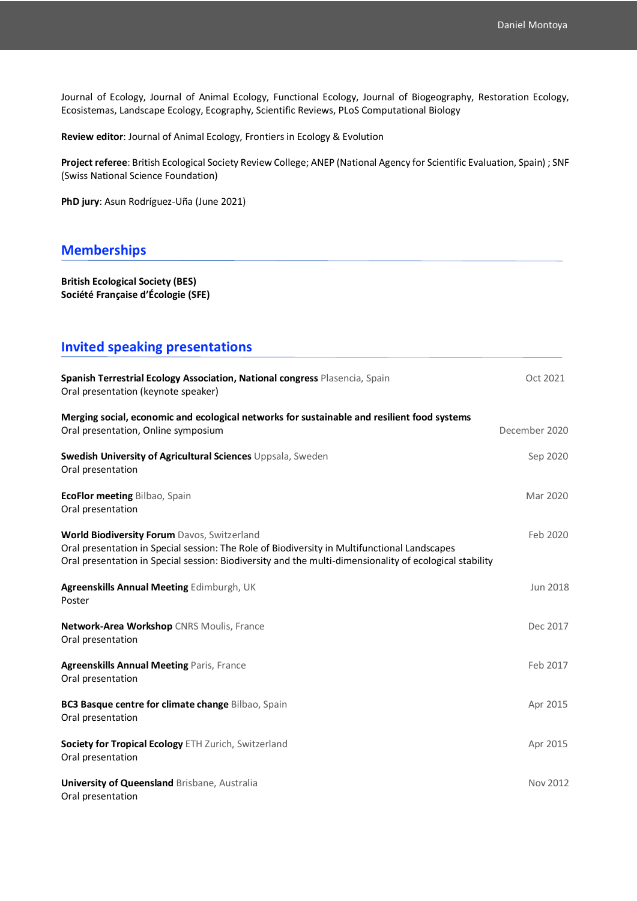Journal of Ecology, Journal of Animal Ecology, Functional Ecology, Journal of Biogeography, Restoration Ecology, Ecosistemas, Landscape Ecology, Ecography, Scientific Reviews, PLoS Computational Biology

**Review editor**: Journal of Animal Ecology, Frontiers in Ecology & Evolution

**Project referee**: British Ecological Society Review College; ANEP (National Agency for Scientific Evaluation, Spain) ; SNF (Swiss National Science Foundation)

**PhD jury**: Asun Rodríguez-Uña (June 2021)

## **Memberships**

**British Ecological Society (BES) Société Française d'Écologie (SFE)**

# **Invited speaking presentations**

| Spanish Terrestrial Ecology Association, National congress Plasencia, Spain<br>Oral presentation (keynote speaker)                                                                                                                                     | Oct 2021        |
|--------------------------------------------------------------------------------------------------------------------------------------------------------------------------------------------------------------------------------------------------------|-----------------|
| Merging social, economic and ecological networks for sustainable and resilient food systems<br>Oral presentation, Online symposium                                                                                                                     | December 2020   |
| Swedish University of Agricultural Sciences Uppsala, Sweden<br>Oral presentation                                                                                                                                                                       | Sep 2020        |
| <b>EcoFlor meeting Bilbao, Spain</b><br>Oral presentation                                                                                                                                                                                              | Mar 2020        |
| World Biodiversity Forum Davos, Switzerland<br>Oral presentation in Special session: The Role of Biodiversity in Multifunctional Landscapes<br>Oral presentation in Special session: Biodiversity and the multi-dimensionality of ecological stability | Feb 2020        |
| Agreenskills Annual Meeting Edimburgh, UK<br>Poster                                                                                                                                                                                                    | <b>Jun 2018</b> |
| Network-Area Workshop CNRS Moulis, France<br>Oral presentation                                                                                                                                                                                         | Dec 2017        |
| <b>Agreenskills Annual Meeting Paris, France</b><br>Oral presentation                                                                                                                                                                                  | Feb 2017        |
| BC3 Basque centre for climate change Bilbao, Spain<br>Oral presentation                                                                                                                                                                                | Apr 2015        |
| Society for Tropical Ecology ETH Zurich, Switzerland<br>Oral presentation                                                                                                                                                                              | Apr 2015        |
| <b>University of Queensland Brisbane, Australia</b><br>Oral presentation                                                                                                                                                                               | Nov 2012        |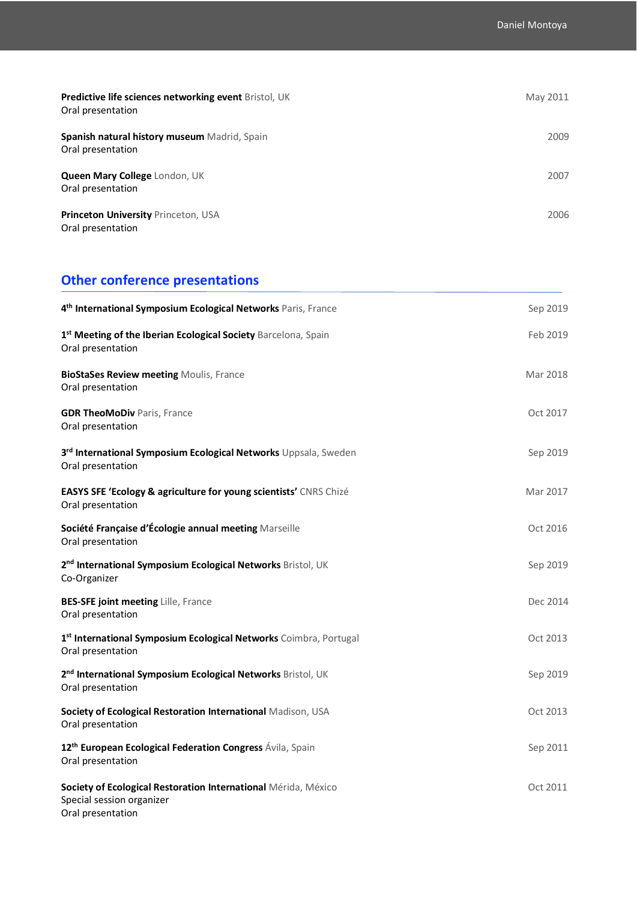| <b>Predictive life sciences networking event Bristol, UK</b><br>Oral presentation | May 2011 |
|-----------------------------------------------------------------------------------|----------|
| <b>Spanish natural history museum Madrid, Spain</b><br>Oral presentation          | 2009     |
| Queen Mary College London, UK<br>Oral presentation                                | 2007     |
| <b>Princeton University Princeton, USA</b><br>Oral presentation                   | 2006     |

# **Other conference presentations**

| 4 <sup>th</sup> International Symposium Ecological Networks Paris, France                                        | Sep 2019 |
|------------------------------------------------------------------------------------------------------------------|----------|
| 1st Meeting of the Iberian Ecological Society Barcelona, Spain<br>Oral presentation                              | Feb 2019 |
| <b>BioStaSes Review meeting Moulis, France</b><br>Oral presentation                                              | Mar 2018 |
| <b>GDR TheoMoDiv Paris, France</b><br>Oral presentation                                                          | Oct 2017 |
| 3rd International Symposium Ecological Networks Uppsala, Sweden<br>Oral presentation                             | Sep 2019 |
| EASYS SFE 'Ecology & agriculture for young scientists' CNRS Chizé<br>Oral presentation                           | Mar 2017 |
| Société Française d'Écologie annual meeting Marseille<br>Oral presentation                                       | Oct 2016 |
| 2 <sup>nd</sup> International Symposium Ecological Networks Bristol, UK<br>Co-Organizer                          | Sep 2019 |
| <b>BES-SFE joint meeting Lille, France</b><br>Oral presentation                                                  | Dec 2014 |
| 1st International Symposium Ecological Networks Coimbra, Portugal<br>Oral presentation                           | Oct 2013 |
| 2 <sup>nd</sup> International Symposium Ecological Networks Bristol, UK<br>Oral presentation                     | Sep 2019 |
| Society of Ecological Restoration International Madison, USA<br>Oral presentation                                | Oct 2013 |
| 12 <sup>th</sup> European Ecological Federation Congress Ávila, Spain<br>Oral presentation                       | Sep 2011 |
| Society of Ecological Restoration International Mérida, México<br>Special session organizer<br>Oral presentation | Oct 2011 |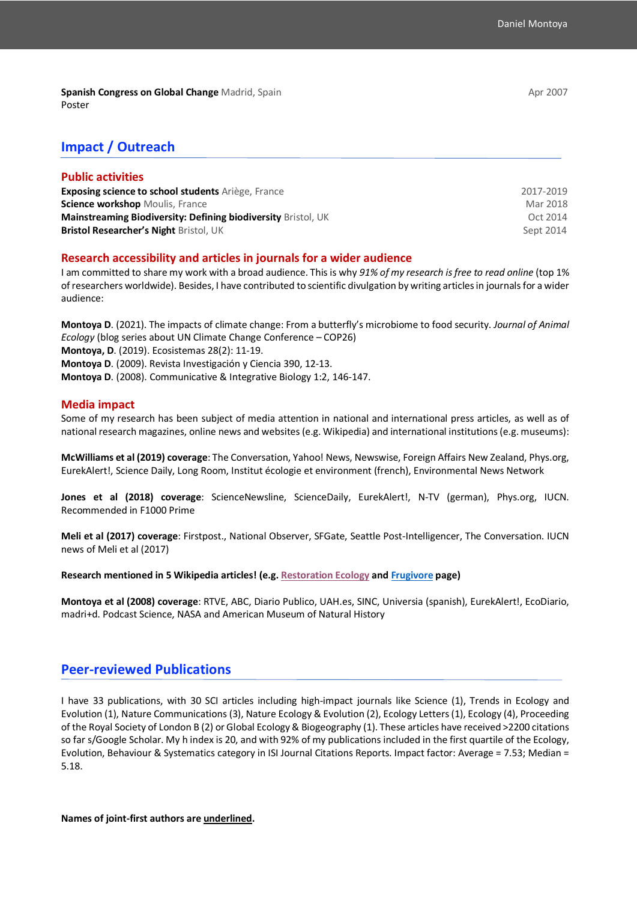**Spanish Congress on Global Change** Madrid, Spain Apr 2007 **Apr 2007** Apr 2007 Poster

| <b>Public activities</b>                                             |           |
|----------------------------------------------------------------------|-----------|
| <b>Exposing science to school students</b> Ariège, France            | 2017-2019 |
| <b>Science workshop</b> Moulis, France                               | Mar 2018  |
| <b>Mainstreaming Biodiversity: Defining biodiversity Bristol, UK</b> | Oct 2014  |
| <b>Bristol Researcher's Night Bristol, UK</b>                        | Sept 2014 |

#### **Research accessibility and articles in journals for a wider audience**

I am committed to share my work with a broad audience. This is why *91% of my research is free to read online* (top 1% of researchers worldwide). Besides, I have contributed to scientific divulgation by writing articles in journals for a wider audience:

**Montoya D**. (2021). The impacts of climate change: From a butterfly's microbiome to food security. *Journal of Animal Ecology* (blog series about UN Climate Change Conference – COP26) **Montoya, D**. (2019). Ecosistemas 28(2): 11-19. **Montoya D**. (2009). Revista Investigación y Ciencia 390, 12-13. **Montoya D**. (2008). Communicative & Integrative Biology 1:2, 146-147.

#### **Media impact**

Some of my research has been subject of media attention in national and international press articles, as well as of national research magazines, online news and websites (e.g. Wikipedia) and international institutions (e.g. museums):

**McWilliams et al (2019) coverage**: The Conversation, Yahoo! News, Newswise, Foreign Affairs New Zealand, Phys.org, EurekAlert!, Science Daily, Long Room, Institut écologie et environment (french), Environmental News Network

**Jones et al (2018) coverage**: ScienceNewsline, ScienceDaily, EurekAlert!, N-TV (german), Phys.org, IUCN. Recommended in F1000 Prime

**Meli et al (2017) coverage**: Firstpost., National Observer, SFGate, Seattle Post-Intelligencer, The Conversation. IUCN news of Meli et al (2017)

**Research mentioned in 5 Wikipedia articles! (e.g. Restoration Ecology and Frugivore page)**

**Montoya et al (2008) coverage**: RTVE, ABC, Diario Publico, UAH.es, SINC, Universia (spanish), EurekAlert!, EcoDiario, madri+d. Podcast Science, NASA and American Museum of Natural History

### **Peer-reviewed Publications**

I have 33 publications, with 30 SCI articles including high-impact journals like Science (1), Trends in Ecology and Evolution (1), Nature Communications (3), Nature Ecology & Evolution (2), Ecology Letters (1), Ecology (4), Proceeding of the Royal Society of London B (2) or Global Ecology & Biogeography (1). These articles have received >2200 citations so far s/Google Scholar. My h index is 20, and with 92% of my publications included in the first quartile of the Ecology, Evolution, Behaviour & Systematics category in ISI Journal Citations Reports. Impact factor: Average = 7.53; Median = 5.18.

**Names of joint-first authors are underlined.**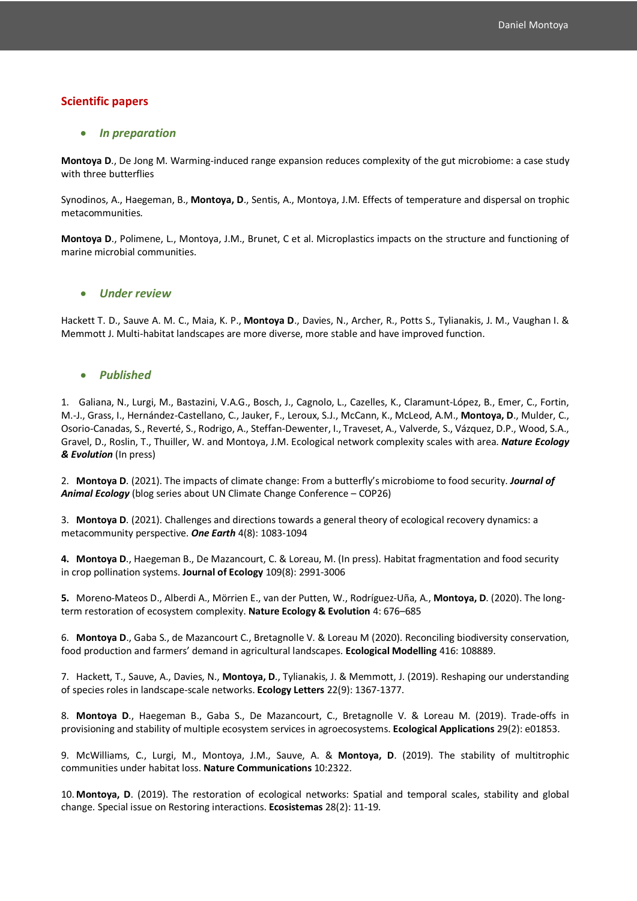#### **Scientific papers**

#### • *In preparation*

**Montoya D**., De Jong M. Warming-induced range expansion reduces complexity of the gut microbiome: a case study with three butterflies

Synodinos, A., Haegeman, B., **Montoya, D**., Sentis, A., Montoya, J.M. Effects of temperature and dispersal on trophic metacommunities.

**Montoya D**., Polimene, L., Montoya, J.M., Brunet, C et al. Microplastics impacts on the structure and functioning of marine microbial communities.

#### • *Under review*

Hackett T. D., Sauve A. M. C., Maia, K. P., **Montoya D**., Davies, N., Archer, R., Potts S., Tylianakis, J. M., Vaughan I. & Memmott J. Multi-habitat landscapes are more diverse, more stable and have improved function.

#### • *Published*

1. Galiana, N., Lurgi, M., Bastazini, V.A.G., Bosch, J., Cagnolo, L., Cazelles, K., Claramunt-López, B., Emer, C., Fortin, M.-J., Grass, I., Hernández-Castellano, C., Jauker, F., Leroux, S.J., McCann, K., McLeod, A.M., **Montoya, D**., Mulder, C., Osorio-Canadas, S., Reverté, S., Rodrigo, A., Steffan-Dewenter, I., Traveset, A., Valverde, S., Vázquez, D.P., Wood, S.A., Gravel, D., Roslin, T., Thuiller, W. and Montoya, J.M. Ecological network complexity scales with area. *Nature Ecology & Evolution* (In press)

2. **Montoya D**. (2021). The impacts of climate change: From a butterfly's microbiome to food security. *Journal of Animal Ecology* (blog series about UN Climate Change Conference – COP26)

3. **Montoya D**. (2021). Challenges and directions towards a general theory of ecological recovery dynamics: a metacommunity perspective. *One Earth* 4(8): 1083-1094

**4. Montoya D**., Haegeman B., De Mazancourt, C. & Loreau, M. (In press). Habitat fragmentation and food security in crop pollination systems. **Journal of Ecology** 109(8): 2991-3006

**5.** Moreno-Mateos D., Alberdi A., Mörrien E., van der Putten, W., Rodríguez-Uña, A., **Montoya, D**. (2020). The longterm restoration of ecosystem complexity. **Nature Ecology & Evolution** 4: 676–685

6. **Montoya D**., Gaba S., de Mazancourt C., Bretagnolle V. & Loreau M (2020). Reconciling biodiversity conservation, food production and farmers' demand in agricultural landscapes. **Ecological Modelling** 416: 108889.

7. Hackett, T., Sauve, A., Davies, N., **Montoya, D**., Tylianakis, J. & Memmott, J. (2019). Reshaping our understanding of species roles in landscape-scale networks. **Ecology Letters** 22(9): 1367-1377.

8. **Montoya D**., Haegeman B., Gaba S., De Mazancourt, C., Bretagnolle V. & Loreau M. (2019). Trade-offs in provisioning and stability of multiple ecosystem services in agroecosystems. **Ecological Applications** 29(2): e01853.

9. McWilliams, C., Lurgi, M., Montoya, J.M., Sauve, A. & **Montoya, D**. (2019). The stability of multitrophic communities under habitat loss. **Nature Communications** 10:2322.

10. **Montoya, D**. (2019). The restoration of ecological networks: Spatial and temporal scales, stability and global change. Special issue on Restoring interactions. **Ecosistemas** 28(2): 11-19.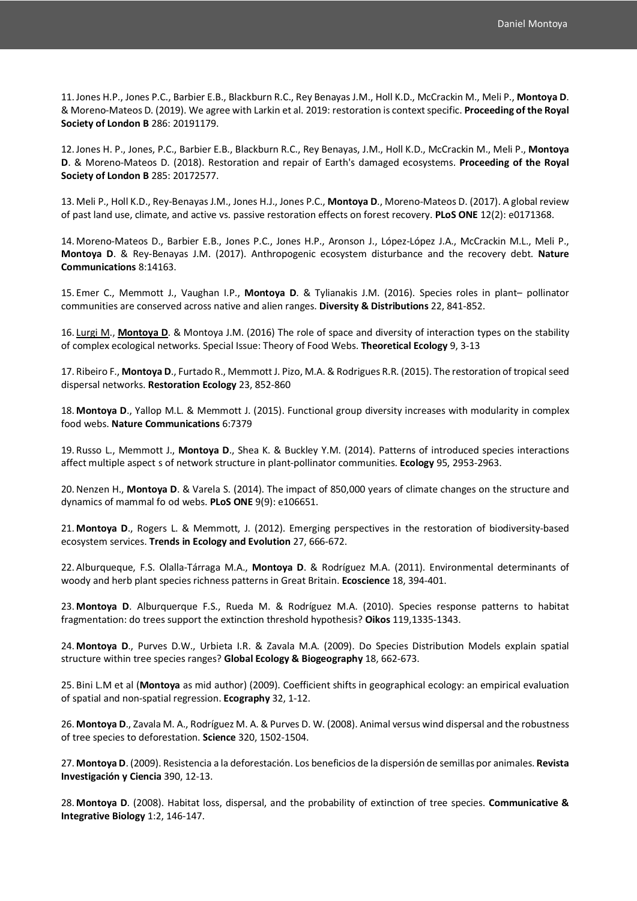11.Jones H.P., Jones P.C., Barbier E.B., Blackburn R.C., Rey Benayas J.M., Holl K.D., McCrackin M., Meli P., **Montoya D**. & Moreno-Mateos D. (2019). We agree with Larkin et al. 2019: restoration is context specific. **Proceeding of the Royal Society of London B** 286: 20191179.

12.Jones H. P., Jones, P.C., Barbier E.B., Blackburn R.C., Rey Benayas, J.M., Holl K.D., McCrackin M., Meli P., **Montoya D**. & Moreno-Mateos D. (2018). Restoration and repair of Earth's damaged ecosystems. **Proceeding of the Royal Society of London B** 285: 20172577.

13. Meli P., Holl K.D., Rey-Benayas J.M., Jones H.J., Jones P.C., **Montoya D**., Moreno-Mateos D. (2017). A global review of past land use, climate, and active vs. passive restoration effects on forest recovery. **PLoS ONE** 12(2): e0171368.

14. Moreno-Mateos D., Barbier E.B., Jones P.C., Jones H.P., Aronson J., López-López J.A., McCrackin M.L., Meli P., **Montoya D**. & Rey-Benayas J.M. (2017). Anthropogenic ecosystem disturbance and the recovery debt. **Nature Communications** 8:14163.

15. Emer C., Memmott J., Vaughan I.P., **Montoya D**. & Tylianakis J.M. (2016). Species roles in plant– pollinator communities are conserved across native and alien ranges. **Diversity & Distributions** 22, 841-852.

16. Lurgi M., **Montoya D**. & Montoya J.M. (2016) The role of space and diversity of interaction types on the stability of complex ecological networks. Special Issue: Theory of Food Webs. **Theoretical Ecology** 9, 3-13

17. Ribeiro F., **Montoya D**., Furtado R., Memmott J. Pizo, M.A. & Rodrigues R.R. (2015). The restoration of tropical seed dispersal networks. **Restoration Ecology** 23, 852-860

18. **Montoya D**., Yallop M.L. & Memmott J. (2015). Functional group diversity increases with modularity in complex food webs. **Nature Communications** 6:7379

19. Russo L., Memmott J., **Montoya D**., Shea K. & Buckley Y.M. (2014). Patterns of introduced species interactions affect multiple aspect s of network structure in plant-pollinator communities. **Ecology** 95, 2953-2963.

20.Nenzen H., **Montoya D**. & Varela S. (2014). The impact of 850,000 years of climate changes on the structure and dynamics of mammal fo od webs. **PLoS ONE** 9(9): e106651.

21. **Montoya D**., Rogers L. & Memmott, J. (2012). Emerging perspectives in the restoration of biodiversity-based ecosystem services. **Trends in Ecology and Evolution** 27, 666-672.

22. Alburqueque, F.S. Olalla-Tárraga M.A., **Montoya D**. & Rodríguez M.A. (2011). Environmental determinants of woody and herb plant species richness patterns in Great Britain. **Ecoscience** 18, 394-401.

23. **Montoya D**. Alburquerque F.S., Rueda M. & Rodríguez M.A. (2010). Species response patterns to habitat fragmentation: do trees support the extinction threshold hypothesis? **Oikos** 119,1335-1343.

24. **Montoya D**., Purves D.W., Urbieta I.R. & Zavala M.A. (2009). Do Species Distribution Models explain spatial structure within tree species ranges? **Global Ecology & Biogeography** 18, 662-673.

25. Bini L.M et al (**Montoya** as mid author) (2009). Coefficient shifts in geographical ecology: an empirical evaluation of spatial and non-spatial regression. **Ecography** 32, 1-12.

26. **Montoya D**., Zavala M. A., Rodríguez M. A. & Purves D. W. (2008). Animal versus wind dispersal and the robustness of tree species to deforestation. **Science** 320, 1502-1504.

27. **Montoya D**. (2009). Resistencia a la deforestación. Los beneficios de la dispersión de semillas por animales. **Revista Investigación y Ciencia** 390, 12-13.

28. **Montoya D**. (2008). Habitat loss, dispersal, and the probability of extinction of tree species. **Communicative & Integrative Biology** 1:2, 146-147.